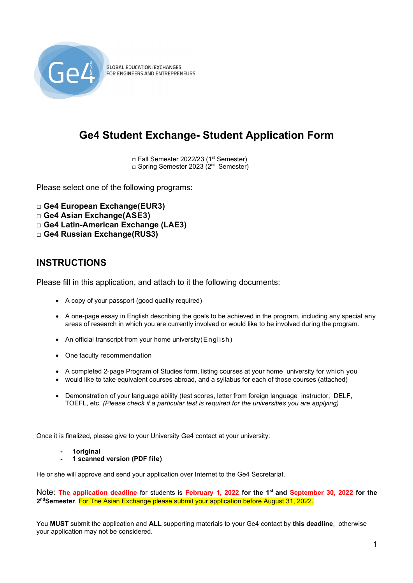

**GLOBAL EDUCATION: EXCHANGES** FOR ENGINEERS AND ENTREPRENEURS

# **Ge4 Student Exchange- Student Application Form**

□ Fall Semester 2022/23 (1<sup>st</sup> Semester) □ Spring Semester 2023 (2<sup>nd</sup> Semester)

Please select one of the following programs:

- **□ Ge4 European Exchange(EUR3)**
- **□ Ge4 Asian Exchange(ASE3)**
- **□ Ge4 Latin-American Exchange (LAE3)**
- **□ Ge4 Russian Exchange(RUS3)**

## **INSTRUCTIONS**

Please fill in this application, and attach to it the following documents:

- A copy of your passport (good quality required)
- A one-page essay in English describing the goals to be achieved in the program, including any special any areas of research in which you are currently involved or would like to be involved during the program.
- An official transcript from your home university (English)
- One faculty recommendation
- A completed 2-page Program of Studies form, listing courses at your home university for which you
- would like to take equivalent courses abroad, and a syllabus for each of those courses (attached)
- Demonstration of your language ability (test scores, letter from foreign language instructor, DELF, TOEFL, etc. *(Please check if a particular test is required for the universities you are applying)*

Once it is finalized, please give to your University Ge4 contact at your university:

- **- 1original**
- **- 1 scanned version (PDF file)**

He or she will approve and send your application over Internet to the Ge4 Secretariat.

Note: **The application deadline** for students is **February 1, 2022 for the 1st and September 30, 2022 for the** 2<sup>nd</sup>Semester. For The Asian Exchange please submit your application before August 31, 2022.

You **MUST** submit the application and **ALL** supporting materials to your Ge4 contact by **this deadline**, otherwise your application may not be considered.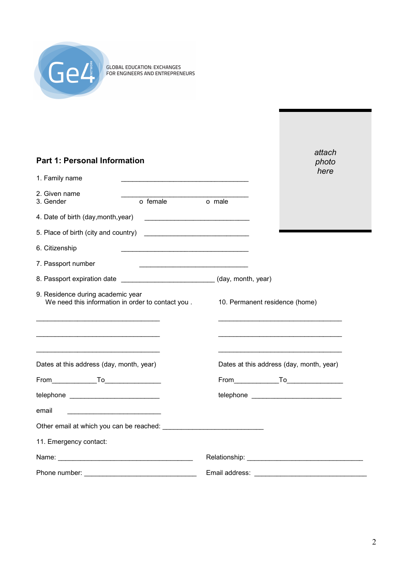

| <b>Part 1: Personal Information</b>                                                                                                                                                                                            | attach<br>photo<br>here                                                                                                                                                                                                              |
|--------------------------------------------------------------------------------------------------------------------------------------------------------------------------------------------------------------------------------|--------------------------------------------------------------------------------------------------------------------------------------------------------------------------------------------------------------------------------------|
| 1. Family name<br>the control of the control of the control of the control of the control of the control of                                                                                                                    |                                                                                                                                                                                                                                      |
| 2. Given name<br>o female<br>3. Gender                                                                                                                                                                                         | o male                                                                                                                                                                                                                               |
| 4. Date of birth (day, month, year)                                                                                                                                                                                            | <u> 1990 - Johann John Stoff, deutscher Stoffen und der Stoffen und der Stoffen und der Stoffen und der Stoffen und der Stoffen und der Stoffen und der Stoffen und der Stoffen und der Stoffen und der Stoffen und der Stoffen </u> |
| 5. Place of birth (city and country)                                                                                                                                                                                           |                                                                                                                                                                                                                                      |
| 6. Citizenship                                                                                                                                                                                                                 |                                                                                                                                                                                                                                      |
| 7. Passport number                                                                                                                                                                                                             |                                                                                                                                                                                                                                      |
| 8. Passport expiration date ______________________________(day, month, year)                                                                                                                                                   |                                                                                                                                                                                                                                      |
| 9. Residence during academic year<br>We need this information in order to contact you.                                                                                                                                         | 10. Permanent residence (home)                                                                                                                                                                                                       |
| Dates at this address (day, month, year)                                                                                                                                                                                       | Dates at this address (day, month, year)                                                                                                                                                                                             |
|                                                                                                                                                                                                                                |                                                                                                                                                                                                                                      |
| telephone _______________________________                                                                                                                                                                                      | telephone ____________________________                                                                                                                                                                                               |
| email                                                                                                                                                                                                                          |                                                                                                                                                                                                                                      |
| Other email at which you can be reached: University of the contract of the contract of the contract of the contract of the contract of the contract of the contract of the contract of the contract of the contract of the con |                                                                                                                                                                                                                                      |
| 11. Emergency contact:                                                                                                                                                                                                         |                                                                                                                                                                                                                                      |
| Name: Name and the state of the state of the state of the state of the state of the state of the state of the state of the state of the state of the state of the state of the state of the state of the state of the state of |                                                                                                                                                                                                                                      |
|                                                                                                                                                                                                                                |                                                                                                                                                                                                                                      |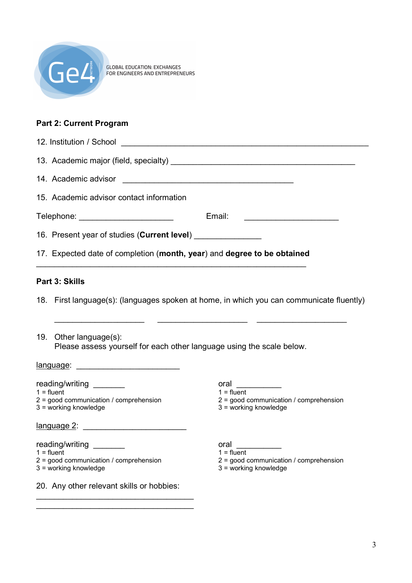

# **Part 2: Current Program**

| 12. Institution / School                                                                                                                                                                                                       |                                                                                           |
|--------------------------------------------------------------------------------------------------------------------------------------------------------------------------------------------------------------------------------|-------------------------------------------------------------------------------------------|
|                                                                                                                                                                                                                                |                                                                                           |
| 14. Academic advisor                                                                                                                                                                                                           |                                                                                           |
| 15. Academic advisor contact information                                                                                                                                                                                       |                                                                                           |
| Telephone: __________________________                                                                                                                                                                                          | Email:                                                                                    |
| 16. Present year of studies (Current level) _________________                                                                                                                                                                  |                                                                                           |
| 17. Expected date of completion (month, year) and degree to be obtained                                                                                                                                                        |                                                                                           |
| Part 3: Skills                                                                                                                                                                                                                 |                                                                                           |
|                                                                                                                                                                                                                                | 18. First language(s): (languages spoken at home, in which you can communicate fluently)  |
| 19. Other language(s):<br>Please assess yourself for each other language using the scale below.                                                                                                                                |                                                                                           |
|                                                                                                                                                                                                                                |                                                                                           |
| reading/writing ________<br>$1 =$ fluent<br>$2 =$ good communication / comprehension<br>3 = working knowledge                                                                                                                  | oral<br>$1 =$ fluent<br>2 = good communication / comprehension<br>3 = working knowledge   |
| language 2: New York Street, New York Street, New York Street, New York Street, New York Street, New York Street, New York Street, New York Street, New York Street, New York Street, New York Street, New York Street, New Yo |                                                                                           |
| reading/writing ________<br>$1 =$ fluent<br>2 = good communication / comprehension<br>3 = working knowledge                                                                                                                    | oral<br>$1 =$ fluent<br>$2 =$ good communication / comprehension<br>3 = working knowledge |
| 20. Any other relevant skills or hobbies:                                                                                                                                                                                      |                                                                                           |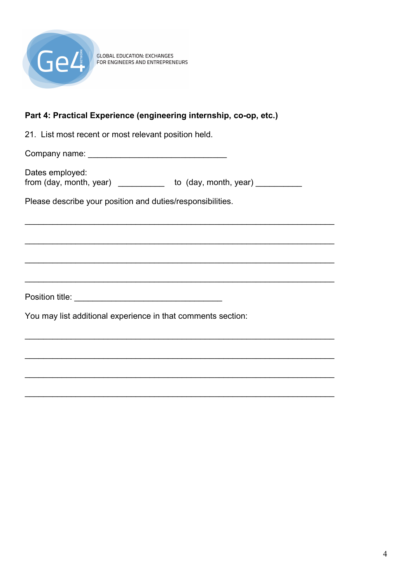

GLOBAL EDUCATION: EXCHANGES<br>FOR ENGINEERS AND ENTREPRENEURS

#### Part 4: Practical Experience (engineering internship, co-op, etc.)

21. List most recent or most relevant position held.

Dates employed: from (day, month, year) \_\_\_\_\_\_\_\_\_\_\_ to (day, month, year) \_\_\_\_\_\_\_\_\_\_

Please describe your position and duties/responsibilities.

You may list additional experience in that comments section: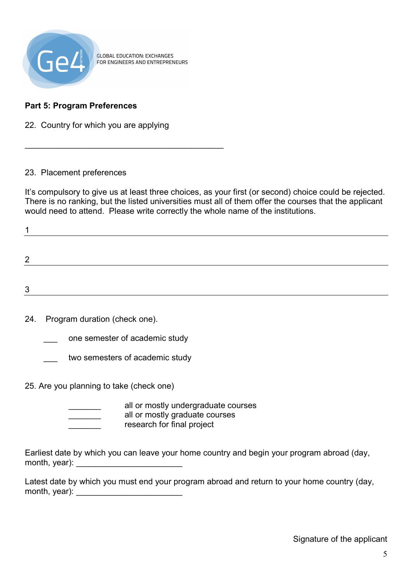

**GLOBAL EDUCATION: EXCHANGES** FOR ENGINEERS AND ENTREPRENEURS

# **Part 5: Program Preferences**

22. Country for which you are applying

 $\frac{1}{2}$  ,  $\frac{1}{2}$  ,  $\frac{1}{2}$  ,  $\frac{1}{2}$  ,  $\frac{1}{2}$  ,  $\frac{1}{2}$  ,  $\frac{1}{2}$  ,  $\frac{1}{2}$  ,  $\frac{1}{2}$  ,  $\frac{1}{2}$  ,  $\frac{1}{2}$  ,  $\frac{1}{2}$  ,  $\frac{1}{2}$  ,  $\frac{1}{2}$  ,  $\frac{1}{2}$  ,  $\frac{1}{2}$  ,  $\frac{1}{2}$  ,  $\frac{1}{2}$  ,  $\frac{1$ 

#### 23. Placement preferences

It's compulsory to give us at least three choices, as your first (or second) choice could be rejected. There is no ranking, but the listed universities must all of them offer the courses that the applicant would need to attend. Please write correctly the whole name of the institutions.

| ◠ |  |  |
|---|--|--|
|   |  |  |
| ົ |  |  |

24. Program duration (check one).

one semester of academic study

- two semesters of academic study
- 25. Are you planning to take (check one)
	- all or mostly undergraduate courses all or mostly graduate courses research for final project

Earliest date by which you can leave your home country and begin your program abroad (day, month, year):  $\blacksquare$ 

Latest date by which you must end your program abroad and return to your home country (day, month, year): \_\_\_\_\_\_\_\_\_\_\_\_\_\_\_\_\_\_\_\_\_\_\_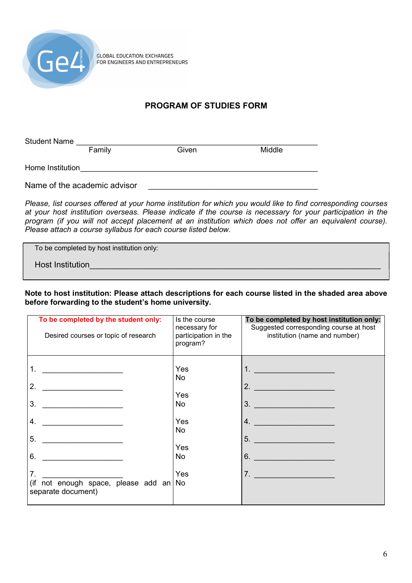

**GLOBAL EDUCATION: EXCHANGES** FOR ENGINEERS AND ENTREPRENEURS

# **PROGRAM OF STUDIES FORM**

| <b>Student Name</b> |                              |       |        |
|---------------------|------------------------------|-------|--------|
|                     | Family                       | Given | Middle |
| Home Institution    |                              |       |        |
|                     | Name of the academic advisor |       |        |

*Please, list courses offered at your home institution for which you would like to find corresponding courses at your host institution overseas. Please indicate if the course is necessary for your participation in the program (if you will not accept placement at an institution which does not offer an equivalent course). Please attach a course syllabus for each course listed below.* 

To be completed by host institution only:

Host Institution

**Note to host institution: Please attach descriptions for each course listed in the shaded area above**  before forwarding to the student's home university.

| To be completed by the student only:<br>Desired courses or topic of research                                               | Is the course<br>necessary for<br>participation in the<br>program? | To be completed by host institution only:<br>Suggested corresponding course at host<br>institution (name and number)         |
|----------------------------------------------------------------------------------------------------------------------------|--------------------------------------------------------------------|------------------------------------------------------------------------------------------------------------------------------|
| 1.<br>2.<br>3.<br>4.<br>5.<br>6.<br>7 <sub>1</sub><br>(if not enough space, please add an $\sqrt{N}$<br>separate document) | Yes<br>No<br>Yes<br>No<br>Yes<br>No<br>Yes<br>No<br>Yes            | <u>1. ____________________</u><br>$\overline{\mathbf{r}}$<br>$\overline{\mathbf{3}}$ .<br>$\overline{4}$ .<br>5.<br>6.<br>7. |